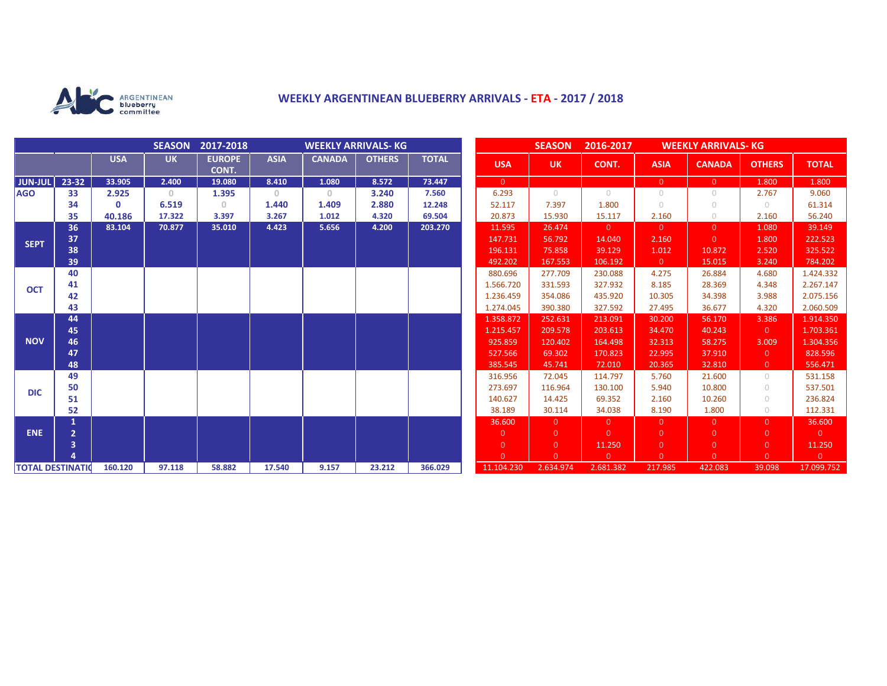

## **WEEKLY ARGENTINEAN BLUEBERRY ARRIVALS - ETA - 2017 / 2018**

|                          |                | SEASON 2017-2018<br><b>WEEKLY ARRIVALS- KG</b> |           |                        |             |               | <b>SEASON</b><br>2016-2017 |              |                            | <b>WEEKLY ARRIVALS- KG</b> |                       |                     |                          |                    |                              |
|--------------------------|----------------|------------------------------------------------|-----------|------------------------|-------------|---------------|----------------------------|--------------|----------------------------|----------------------------|-----------------------|---------------------|--------------------------|--------------------|------------------------------|
|                          |                | <b>USA</b>                                     | <b>UK</b> | <b>EUROPE</b><br>CONT. | <b>ASIA</b> | <b>CANADA</b> | <b>OTHERS</b>              | <b>TOTAL</b> | <b>USA</b>                 | <b>UK</b>                  | CONT.                 | <b>ASIA</b>         | <b>CANADA</b>            | <b>OTHERS</b>      | <b>TOTAL</b>                 |
| <b>JUN-JUL</b>           | 23-32          | 33.905                                         | 2.400     | 19.080                 | 8.410       | 1.080         | 8.572                      | 73.447       | $\overline{0}$             |                            |                       | $\overline{0}$      | $\overline{0}$           | 1.800              | 1.800                        |
| <b>AGO</b>               | 33             | 2.925                                          | $\Omega$  | 1.395                  | $\Omega$    | $\circ$       | 3.240                      | 7.560        | 6.293                      | $\bigcap$                  | $\bigcap$             | $\cup$              | $\bigcap$                | 2.767              | 9.060                        |
|                          | 34             | $\Omega$                                       | 6.519     | $\Omega$               | 1.440       | 1.409         | 2.880                      | 12.248       | 52.117                     | 7.397                      | 1.800                 | $\cup$              | $\bigcirc$               | $\circ$            | 61.314                       |
|                          | 35             | 40.186                                         | 17.322    | 3.397                  | 3.267       | 1.012         | 4.320                      | 69.504       | 20.873                     | 15.930                     | 15.117                | 2.160               | $\bigcirc$               | 2.160              | 56.240                       |
| <b>SEPT</b>              | 36             | 83.104                                         | 70.877    | 35.010                 | 4.423       | 5.656         | 4.200                      | 203.270      | 11.595                     | 26.474                     | $\overline{0}$        | $\overline{0}$      | $\overline{0}$           | 1.080              | 39.149                       |
|                          | 37             |                                                |           |                        |             |               |                            |              | 147.731                    | 56.792                     | 14.040                | 2.160               | $\Omega$                 | 1.800              | 222.523                      |
|                          | 38             |                                                |           |                        |             |               |                            |              | 196.131                    | 75.858                     | 39.129                | 1.012               | 10.872                   | 2.520              | 325.522                      |
|                          | 39             |                                                |           |                        |             |               |                            |              | 492.202                    | 167.553                    | 106.192               | $\overline{0}$      | 15.015                   | 3.240              | 784.202                      |
| <b>OCT</b>               | 40             |                                                |           |                        |             |               |                            |              | 880.696                    | 277.709                    | 230.088               | 4.275               | 26.884                   | 4.680              | 1.424.332                    |
|                          | 41             |                                                |           |                        |             |               |                            |              | 1.566.720                  | 331.593                    | 327.932               | 8.185               | 28.369                   | 4.348              | 2.267.147                    |
|                          | 42             |                                                |           |                        |             |               |                            |              | 1.236.459                  | 354.086                    | 435.920               | 10.305              | 34.398                   | 3.988              | 2.075.156                    |
|                          | 43             |                                                |           |                        |             |               |                            |              | 1.274.045                  | 390.380                    | 327.592               | 27.495              | 36.677                   | 4.320              | 2.060.509                    |
| <b>NOV</b>               | 44             |                                                |           |                        |             |               |                            |              | 1.358.872                  | 252.631                    | 213.091               | 30.200              | 56.170                   | 3.386              | 1.914.350                    |
|                          | 45             |                                                |           |                        |             |               |                            |              | 1.215.457                  | 209.578                    | 203.613               | 34.470              | 40.243                   | $\overline{0}$     | 1.703.361                    |
|                          | 46             |                                                |           |                        |             |               |                            |              | 925.859                    | 120.402                    | 164.498               | 32.313              | 58.275                   | 3.009              | 1.304.356                    |
|                          | 47             |                                                |           |                        |             |               |                            |              | 527.566                    | 69.302                     | 170.823               | 22.995              | 37.910                   | $\overline{0}$     | 828.596                      |
|                          | 48             |                                                |           |                        |             |               |                            |              | 385.545                    | 45.741                     | 72.010                | 20.365              | 32.810                   | $\overline{0}$     | 556.471                      |
| <b>DIC</b>               | 49             |                                                |           |                        |             |               |                            |              | 316.956                    | 72.045                     | 114.797               | 5.760               | 21.600                   | $\circ$            | 531.158                      |
|                          | 50             |                                                |           |                        |             |               |                            |              | 273.697                    | 116.964                    | 130.100               | 5.940               | 10.800                   | $\circ$            | 537.501                      |
|                          | 51             |                                                |           |                        |             |               |                            |              | 140.627                    | 14.425                     | 69.352                | 2.160               | 10.260                   | $\circ$            | 236.824                      |
|                          | 52             |                                                |           |                        |             |               |                            |              | 38.189                     | 30.114                     | 34.038                | 8.190               | 1.800                    | $\circ$            | 112.331                      |
| <b>ENE</b>               | 1              |                                                |           |                        |             |               |                            |              | 36.600                     | $\Omega$                   | $\overline{0}$        | $\overline{0}$      | $\Omega$                 | $\overline{0}$     | 36.600                       |
|                          | $\overline{2}$ |                                                |           |                        |             |               |                            |              | $\overline{0}$             | $\Omega$                   | $\Omega$              | $\overline{0}$      | $\overline{0}$           | $\overline{0}$     | $\overline{0}$               |
|                          | $\overline{3}$ |                                                |           |                        |             |               |                            |              | $\overline{0}$<br>$\Omega$ | $\mathbf{0}$               | 11.250                | $\overline{0}$      | $\mathbf{0}$<br>$\Omega$ | $\mathbf{0}$       | 11.250                       |
|                          |                | 160.120                                        | 97.118    | 58.882                 | 17.540      | 9.157         | 23.212                     | 366.029      | 11.104.230                 | $\Omega$<br>2.634.974      | $\Omega$<br>2.681.382 | $\Omega$<br>217.985 | 422.083                  | $\Omega$<br>39.098 | $\overline{0}$<br>17.099.752 |
| <b>TOTAL DESTINATION</b> |                |                                                |           |                        |             |               |                            |              |                            |                            |                       |                     |                          |                    |                              |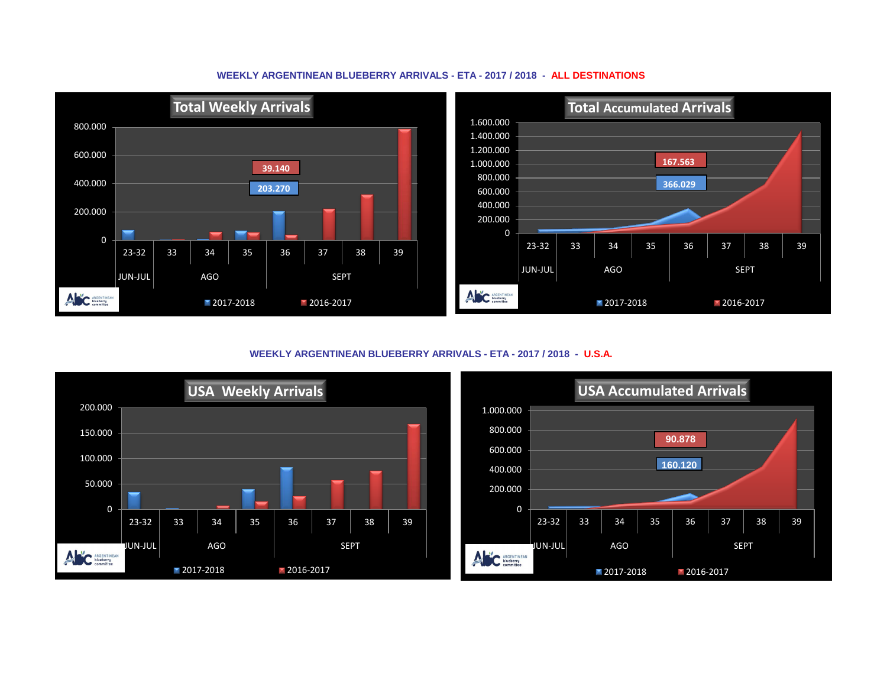## **WEEKLY ARGENTINEAN BLUEBERRY ARRIVALS - ETA - 2017 / 2018 - ALL DESTINATIONS**



**WEEKLY ARGENTINEAN BLUEBERRY ARRIVALS - ETA - 2017 / 2018 - U.S.A.**



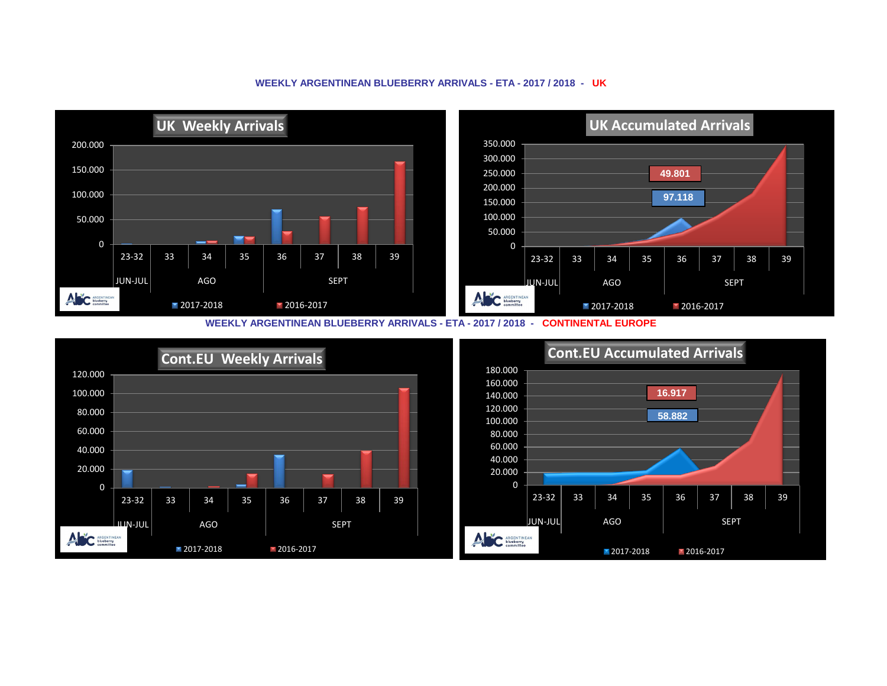## **WEEKLY ARGENTINEAN BLUEBERRY ARRIVALS - ETA - 2017 / 2018 - UK**



**WEEKLY ARGENTINEAN BLUEBERRY ARRIVALS - ETA - 2017 / 2018 - CONTINENTAL EUROPE**